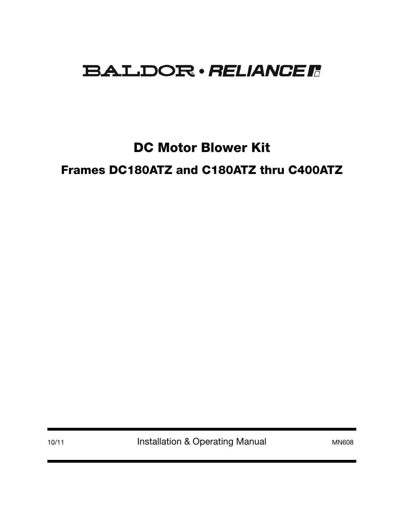# **BALDOR** · RELIANCE R

DC Motor Blower Kit

Frames DC180ATZ and C180ATZ thru C400ATZ

10/11 **Installation & Operating Manual MN608** MN608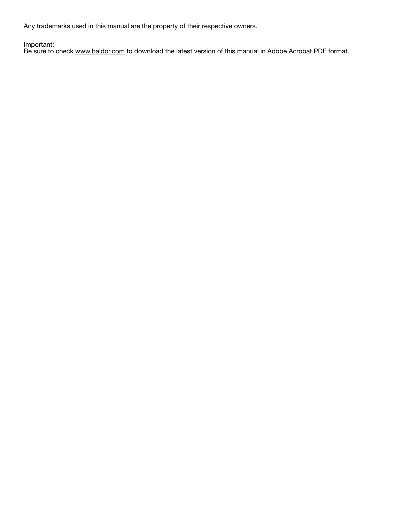Any trademarks used in this manual are the property of their respective owners.

Important:

Be sure to check www.baldor.com to download the latest version of this manual in Adobe Acrobat PDF format.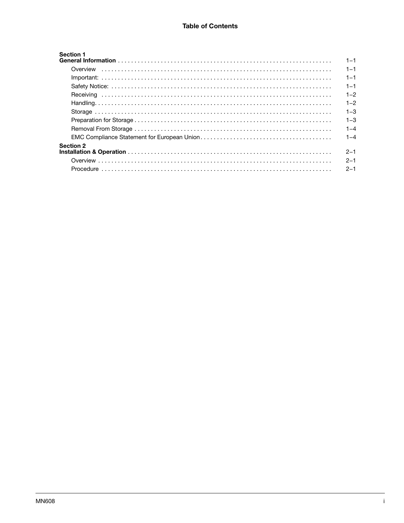| <b>Section 1</b> | $1 - 1$ |
|------------------|---------|
|                  | $1 - 1$ |
|                  | $1 - 1$ |
|                  | $1 - 1$ |
|                  | $1 - 2$ |
|                  | $1 - 2$ |
|                  | $1 - 3$ |
|                  | $1 - 3$ |
|                  | $1 - 4$ |
|                  | $1 - 4$ |
| <b>Section 2</b> | $2 - 1$ |
|                  | $2 - 1$ |
|                  | $2 - 1$ |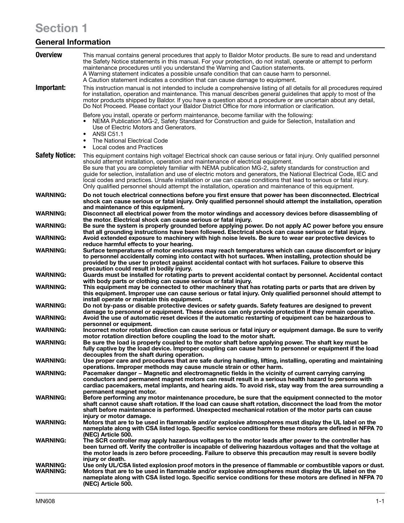# Section 1

## General Information

| <b>Overview</b>                    | This manual contains general procedures that apply to Baldor Motor products. Be sure to read and understand<br>the Safety Notice statements in this manual. For your protection, do not install, operate or attempt to perform<br>maintenance procedures until you understand the Warning and Caution statements.<br>A Warning statement indicates a possible unsafe condition that can cause harm to personnel.<br>A Caution statement indicates a condition that can cause damage to equipment.                                                                                                                                                                            |  |  |  |
|------------------------------------|------------------------------------------------------------------------------------------------------------------------------------------------------------------------------------------------------------------------------------------------------------------------------------------------------------------------------------------------------------------------------------------------------------------------------------------------------------------------------------------------------------------------------------------------------------------------------------------------------------------------------------------------------------------------------|--|--|--|
| Important:                         | This instruction manual is not intended to include a comprehensive listing of all details for all procedures required<br>for installation, operation and maintenance. This manual describes general guidelines that apply to most of the<br>motor products shipped by Baldor. If you have a question about a procedure or are uncertain about any detail,<br>Do Not Proceed. Please contact your Baldor District Office for more information or clarification.                                                                                                                                                                                                               |  |  |  |
|                                    | Before you install, operate or perform maintenance, become familiar with the following:<br>NEMA Publication MG-2, Safety Standard for Construction and guide for Selection, Installation and<br>Use of Electric Motors and Generators.<br><b>ANSI C51.1</b><br>$\bullet$<br>The National Electrical Code<br>٠<br>Local codes and Practices                                                                                                                                                                                                                                                                                                                                   |  |  |  |
| <b>Safety Notice:</b>              | ٠<br>This equipment contains high voltage! Electrical shock can cause serious or fatal injury. Only qualified personnel<br>should attempt installation, operation and maintenance of electrical equipment.<br>Be sure that you are completely familiar with NEMA publication MG-2, safety standards for construction and<br>guide for selection, installation and use of electric motors and generators, the National Electrical Code, IEC and<br>local codes and practices. Unsafe installation or use can cause conditions that lead to serious or fatal injury.<br>Only qualified personnel should attempt the installation, operation and maintenance of this equipment. |  |  |  |
| <b>WARNING:</b>                    | Do not touch electrical connections before you first ensure that power has been disconnected. Electrical                                                                                                                                                                                                                                                                                                                                                                                                                                                                                                                                                                     |  |  |  |
| <b>WARNING:</b>                    | shock can cause serious or fatal injury. Only qualified personnel should attempt the installation, operation<br>and maintenance of this equipment.<br>Disconnect all electrical power from the motor windings and accessory devices before disassembling of<br>the motor. Electrical shock can cause serious or fatal injury.                                                                                                                                                                                                                                                                                                                                                |  |  |  |
| <b>WARNING:</b>                    | Be sure the system is properly grounded before applying power. Do not apply AC power before you ensure<br>that all grounding instructions have been followed. Electrical shock can cause serious or fatal injury.                                                                                                                                                                                                                                                                                                                                                                                                                                                            |  |  |  |
| <b>WARNING:</b>                    | Avoid extended exposure to machinery with high noise levels. Be sure to wear ear protective devices to                                                                                                                                                                                                                                                                                                                                                                                                                                                                                                                                                                       |  |  |  |
| <b>WARNING:</b>                    | reduce harmful effects to your hearing.<br>Surface temperatures of motor enclosures may reach temperatures which can cause discomfort or injury<br>to personnel accidentally coming into contact with hot surfaces. When installing, protection should be<br>provided by the user to protect against accidental contact with hot surfaces. Failure to observe this<br>precaution could result in bodily injury.                                                                                                                                                                                                                                                              |  |  |  |
| <b>WARNING:</b>                    | Guards must be installed for rotating parts to prevent accidental contact by personnel. Accidental contact<br>with body parts or clothing can cause serious or fatal injury.                                                                                                                                                                                                                                                                                                                                                                                                                                                                                                 |  |  |  |
| <b>WARNING:</b>                    | This equipment may be connected to other machinery that has rotating parts or parts that are driven by<br>this equipment. Improper use can cause serious or fatal injury. Only qualified personnel should attempt to<br>install operate or maintain this equipment.                                                                                                                                                                                                                                                                                                                                                                                                          |  |  |  |
| <b>WARNING:</b>                    | Do not by-pass or disable protective devices or safety guards. Safety features are designed to prevent<br>damage to personnel or equipment. These devices can only provide protection if they remain operative.                                                                                                                                                                                                                                                                                                                                                                                                                                                              |  |  |  |
| <b>WARNING:</b>                    | Avoid the use of automatic reset devices if the automatic restarting of equipment can be hazardous to<br>personnel or equipment.                                                                                                                                                                                                                                                                                                                                                                                                                                                                                                                                             |  |  |  |
| <b>WARNING:</b>                    | Incorrect motor rotation direction can cause serious or fatal injury or equipment damage. Be sure to verify<br>motor rotation direction before coupling the load to the motor shaft.                                                                                                                                                                                                                                                                                                                                                                                                                                                                                         |  |  |  |
| <b>WARNING:</b>                    | Be sure the load is properly coupled to the motor shaft before applying power. The shaft key must be<br>fully captive by the load device. Improper coupling can cause harm to personnel or equipment if the load<br>decouples from the shaft during operation.                                                                                                                                                                                                                                                                                                                                                                                                               |  |  |  |
| <b>WARNING:</b>                    | Use proper care and procedures that are safe during handling, lifting, installing, operating and maintaining<br>operations. Improper methods may cause muscle strain or other harm.                                                                                                                                                                                                                                                                                                                                                                                                                                                                                          |  |  |  |
| <b>WARNING:</b>                    | Pacemaker danger – Magnetic and electromagnetic fields in the vicinity of current carrying carrying<br>conductors and permanent magnet motors can result result in a serious health hazard to persons with<br>cardiac pacemakers, metal implants, and hearing aids. To avoid risk, stay way from the area surrounding a<br>permanent magnet motor.                                                                                                                                                                                                                                                                                                                           |  |  |  |
| <b>WARNING:</b>                    | Before performing any motor maintenance procedure, be sure that the equipment connected to the motor<br>shaft cannot cause shaft rotation. If the load can cause shaft rotation, disconnect the load from the motor<br>shaft before maintenance is performed. Unexpected mechanical rotation of the motor parts can cause                                                                                                                                                                                                                                                                                                                                                    |  |  |  |
| <b>WARNING:</b>                    | injury or motor damage.<br>Motors that are to be used in flammable and/or explosive atmospheres must display the UL label on the<br>nameplate along with CSA listed logo. Specific service conditions for these motors are defined in NFPA 70<br>(NEC) Article 500.                                                                                                                                                                                                                                                                                                                                                                                                          |  |  |  |
| <b>WARNING:</b>                    | The SCR controller may apply hazardous voltages to the motor leads after power to the controller has<br>been turned off. Verify the controller is incapable of delivering hazardous voltages and that the voltage at<br>the motor leads is zero before proceeding. Failure to observe this precaution may result is severe bodily<br>injury or death.                                                                                                                                                                                                                                                                                                                        |  |  |  |
| <b>WARNING:</b><br><b>WARNING:</b> | Use only UL/CSA listed explosion proof motors in the presence of flammable or combustible vapors or dust.<br>Motors that are to be used in flammable and/or explosive atmospheres must display the UL label on the<br>nameplate along with CSA listed logo. Specific service conditions for these motors are defined in NFPA 70<br>(NEC) Article 500.                                                                                                                                                                                                                                                                                                                        |  |  |  |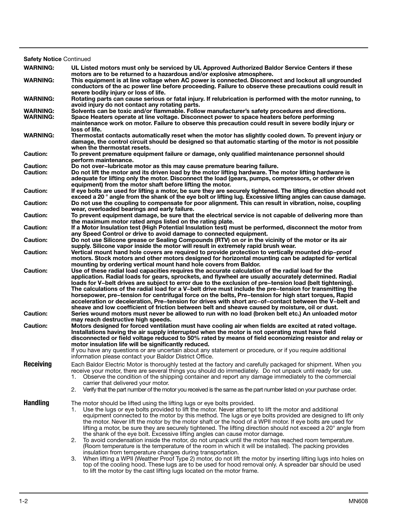| <b>Safety Notice Continued</b>     |                                                                                                                                                                                                                                                                                                                                                                                                                                                                                                                                                                                                                                                                                                                                                                                                                                                                                                                                                                                                                                                                                                                                           |  |  |  |
|------------------------------------|-------------------------------------------------------------------------------------------------------------------------------------------------------------------------------------------------------------------------------------------------------------------------------------------------------------------------------------------------------------------------------------------------------------------------------------------------------------------------------------------------------------------------------------------------------------------------------------------------------------------------------------------------------------------------------------------------------------------------------------------------------------------------------------------------------------------------------------------------------------------------------------------------------------------------------------------------------------------------------------------------------------------------------------------------------------------------------------------------------------------------------------------|--|--|--|
| <b>WARNING:</b>                    | UL Listed motors must only be serviced by UL Approved Authorized Baldor Service Centers if these                                                                                                                                                                                                                                                                                                                                                                                                                                                                                                                                                                                                                                                                                                                                                                                                                                                                                                                                                                                                                                          |  |  |  |
| <b>WARNING:</b>                    | motors are to be returned to a hazardous and/or explosive atmosphere.<br>This equipment is at line voltage when AC power is connected. Disconnect and lockout all ungrounded<br>conductors of the ac power line before proceeding. Failure to observe these precautions could result in                                                                                                                                                                                                                                                                                                                                                                                                                                                                                                                                                                                                                                                                                                                                                                                                                                                   |  |  |  |
| <b>WARNING:</b>                    | severe bodily injury or loss of life.<br>Rotating parts can cause serious or fatal injury. If relubrication is performed with the motor running, to<br>avoid injury do not contact any rotating parts.                                                                                                                                                                                                                                                                                                                                                                                                                                                                                                                                                                                                                                                                                                                                                                                                                                                                                                                                    |  |  |  |
| <b>WARNING:</b><br><b>WARNING:</b> | Solvents can be toxic and/or flammable. Follow manufacturer's safety procedures and directions.<br>Space Heaters operate at line voltage. Disconnect power to space heaters before performing<br>maintenance work on motor. Failure to observe this precaution could result in severe bodily injury or<br>loss of life.                                                                                                                                                                                                                                                                                                                                                                                                                                                                                                                                                                                                                                                                                                                                                                                                                   |  |  |  |
| <b>WARNING:</b>                    | Thermostat contacts automatically reset when the motor has slightly cooled down. To prevent injury or<br>damage, the control circuit should be designed so that automatic starting of the motor is not possible<br>when the thermostat resets.                                                                                                                                                                                                                                                                                                                                                                                                                                                                                                                                                                                                                                                                                                                                                                                                                                                                                            |  |  |  |
| <b>Caution:</b>                    | To prevent premature equipment failure or damage, only qualified maintenance personnel should<br>perform maintenance.                                                                                                                                                                                                                                                                                                                                                                                                                                                                                                                                                                                                                                                                                                                                                                                                                                                                                                                                                                                                                     |  |  |  |
| <b>Caution:</b>                    | Do not over-lubricate motor as this may cause premature bearing failure.                                                                                                                                                                                                                                                                                                                                                                                                                                                                                                                                                                                                                                                                                                                                                                                                                                                                                                                                                                                                                                                                  |  |  |  |
| <b>Caution:</b>                    | Do not lift the motor and its driven load by the motor lifting hardware. The motor lifting hardware is<br>adequate for lifting only the motor. Disconnect the load (gears, pumps, compressors, or other driven<br>equipment) from the motor shaft before lifting the motor.                                                                                                                                                                                                                                                                                                                                                                                                                                                                                                                                                                                                                                                                                                                                                                                                                                                               |  |  |  |
| <b>Caution:</b>                    | If eye bolts are used for lifting a motor, be sure they are securely tightened. The lifting direction should not                                                                                                                                                                                                                                                                                                                                                                                                                                                                                                                                                                                                                                                                                                                                                                                                                                                                                                                                                                                                                          |  |  |  |
| <b>Caution:</b>                    | exceed a 20 ° angle from the shank of the eye bolt or lifting lug. Excessive lifting angles can cause damage.<br>Do not use the coupling to compensate for poor alignment. This can result in vibration, noise, coupling<br>wear, overloaded bearings and early failure.                                                                                                                                                                                                                                                                                                                                                                                                                                                                                                                                                                                                                                                                                                                                                                                                                                                                  |  |  |  |
| <b>Caution:</b>                    | To prevent equipment damage, be sure that the electrical service is not capable of delivering more than<br>the maximum motor rated amps listed on the rating plate.                                                                                                                                                                                                                                                                                                                                                                                                                                                                                                                                                                                                                                                                                                                                                                                                                                                                                                                                                                       |  |  |  |
| <b>Caution:</b>                    | If a Motor Insulation test (High Potential Insulation test) must be performed, disconnect the motor from<br>any Speed Control or drive to avoid damage to connected equipment.                                                                                                                                                                                                                                                                                                                                                                                                                                                                                                                                                                                                                                                                                                                                                                                                                                                                                                                                                            |  |  |  |
| <b>Caution:</b>                    | Do not use Silicone grease or Sealing Compounds (RTV) on or in the vicinity of the motor or its air<br>supply. Silicone vapor inside the motor will result in extremely rapid brush wear.                                                                                                                                                                                                                                                                                                                                                                                                                                                                                                                                                                                                                                                                                                                                                                                                                                                                                                                                                 |  |  |  |
| <b>Caution:</b>                    | Vertical mount hand hole covers are required to provide protection to vertically mounted drip-proof<br>motors. Stock motors and other motors designed for horizontal mounting can be adapted for vertical                                                                                                                                                                                                                                                                                                                                                                                                                                                                                                                                                                                                                                                                                                                                                                                                                                                                                                                                 |  |  |  |
| <b>Caution:</b>                    | mounting by ordering vertical mount hand hole covers from Baldor.<br>Use of these radial load capacities requires the accurate calculation of the radial load for the<br>application. Radial loads for gears, sprockets, and flywheel are usually accurately determined. Radial<br>loads for V-belt drives are subject to error due to the exclusion of pre-tension load (belt tightening).<br>The calculations of the radial load for a V-belt drive must include the pre-tension for transmitting the<br>horsepower, pre-tension for centrifugal force on the belts, Pre-tension for high start torques, Rapid<br>acceleration or deceleration, Pre-tension for drives with short arc-of-contact between the V-belt and<br>sheave and low coefficient of friction between belt and sheave caused by moisture, oil or dust.                                                                                                                                                                                                                                                                                                              |  |  |  |
| <b>Caution:</b>                    | Series wound motors must never be allowed to run with no load (broken belt etc.) An unloaded motor<br>may reach destructive high speeds.                                                                                                                                                                                                                                                                                                                                                                                                                                                                                                                                                                                                                                                                                                                                                                                                                                                                                                                                                                                                  |  |  |  |
| <b>Caution:</b>                    | Motors designed for forced ventilation must have cooling air when fields are excited at rated voltage.<br>Installations having the air supply interrupted when the motor is not operating must have field<br>disconnected or field voltage reduced to 50% rated by means of field economizing resistor and relay or<br>motor insulation life will be significantly reduced.<br>If you have any questions or are uncertain about any statement or procedure, or if you require additional<br>information please contact your Baldor District Office.                                                                                                                                                                                                                                                                                                                                                                                                                                                                                                                                                                                       |  |  |  |
| <b>Receiving</b>                   | Each Baldor Electric Motor is thoroughly tested at the factory and carefully packaged for shipment. When you<br>receive your motor, there are several things you should do immediately. Do not unpack until ready for use.<br>Observe the condition of the shipping container and report any damage immediately to the commercial<br>1.<br>carrier that delivered your motor.<br>Verify that the part number of the motor you received is the same as the part number listed on your purchase order.<br>2.                                                                                                                                                                                                                                                                                                                                                                                                                                                                                                                                                                                                                                |  |  |  |
| <b>Handling</b>                    | The motor should be lifted using the lifting lugs or eye bolts provided.<br>Use the lugs or eye bolts provided to lift the motor. Never attempt to lift the motor and additional<br>1.<br>equipment connected to the motor by this method. The lugs or eye bolts provided are designed to lift only<br>the motor. Never lift the motor by the motor shaft or the hood of a WPII motor. If eye bolts are used for<br>lifting a motor, be sure they are securely tightened. The lifting direction should not exceed a 20° angle from<br>the shank of the eye bolt. Excessive lifting angles can cause motor damage.<br>To avoid condensation inside the motor, do not unpack until the motor has reached room temperature.<br>2.<br>(Room temperature is the temperature of the room in which it will be installed). The packing provides<br>insulation from temperature changes during transportation.<br>When lifting a WPII (Weather Proof Type 2) motor, do not lift the motor by inserting lifting lugs into holes on<br>3.<br>top of the cooling hood. These lugs are to be used for hood removal only. A spreader bar should be used |  |  |  |

to lift the motor by the cast lifting lugs located on the motor frame.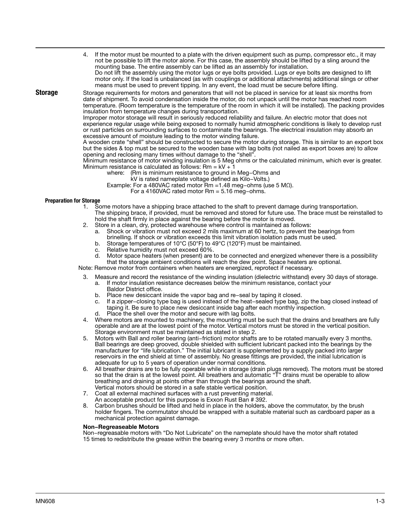means must be used to prevent tipping. In any event, the load must be secure before lifting.

**Storage** Storage requirements for motors and generators that will not be placed in service for at least six months from date of shipment. To avoid condensation inside the motor, do not unpack until the motor has reached room temperature. (Room temperature is the temperature of the room in which it will be installed). The packing provides insulation from temperature changes during transportation.

4. If the motor must be mounted to a plate with the driven equipment such as pump, compressor etc., it may not be possible to lift the motor alone. For this case, the assembly should be lifted by a sling around the

Do not lift the assembly using the motor lugs or eye bolts provided. Lugs or eye bolts are designed to lift motor only. If the load is unbalanced (as with couplings or additional attachments) additional slings or other

Improper motor storage will result in seriously reduced reliability and failure. An electric motor that does not experience regular usage while being exposed to normally humid atmospheric conditions is likely to develop rust or rust particles on surrounding surfaces to contaminate the bearings. The electrical insulation may absorb an excessive amount of moisture leading to the motor winding failure.

A wooden crate "shell" should be constructed to secure the motor during storage. This is similar to an export box but the sides & top must be secured to the wooden base with lag bolts (not nailed as export boxes are) to allow opening and reclosing many times without damage to the "shell".

Minimum resistance of motor winding insulation is 5 Meg ohms or the calculated minimum, which ever is greater. Minimum resistance is calculated as follows:  $Rm = kV + 1$ 

- where: (Rm is minimum resistance to ground in Meg−Ohms and
	- kV is rated nameplate voltage defined as Kilo−Volts.)

Example: For a 480VAC rated motor Rm =1.48 meg−ohms (use 5 MΩ).

mounting base. The entire assembly can be lifted as an assembly for installation.

For a 4160VAC rated motor Rm = 5.16 meg−ohms.

## Preparation for Storage

- 1. Some motors have a shipping brace attached to the shaft to prevent damage during transportation. The shipping brace, if provided, must be removed and stored for future use. The brace must be reinstalled to hold the shaft firmly in place against the bearing before the motor is moved.
- 2. Store in a clean, dry, protected warehouse where control is maintained as follows:
	- a. Shock or vibration must not exceed 2 mils maximum at 60 hertz, to prevent the bearings from
	- brinelling. If shock or vibration exceeds this limit vibration isolation pads must be used.
	- b. Storage temperatures of 10°C (50°F) to 49°C (120°F) must be maintained.
	- c. Relative humidity must not exceed 60%.
	- d. Motor space heaters (when present) are to be connected and energized whenever there is a possibility

that the storage ambient conditions will reach the dew point. Space heaters are optional.

Note: Remove motor from containers when heaters are energized, reprotect if necessary.

- 3. Measure and record the resistance of the winding insulation (dielectric withstand) every 30 days of storage.
	- a. If motor insulation resistance decreases below the minimum resistance, contact your
		- Baldor District office.
	- b. Place new desiccant inside the vapor bag and re−seal by taping it closed.
	- c. If a zipper−closing type bag is used instead of the heat−sealed type bag, zip the bag closed instead of taping it. Be sure to place new desiccant inside bag after each monthly inspection.
	- d. Place the shell over the motor and secure with lag bolts.
- 4. Where motors are mounted to machinery, the mounting must be such that the drains and breathers are fully operable and are at the lowest point of the motor. Vertical motors must be stored in the vertical position. Storage environment must be maintained as stated in step 2.
- 5. Motors with Ball and roller bearing (anti−friction) motor shafts are to be rotated manually every 3 months. Ball bearings are deep grooved, double shielded with sufficient lubricant packed into the bearings by the manufacturer for "life lubrication." The initial lubricant is supplemented by a supply packed into larger reservoirs in the end shield at time of assembly. No grease fittings are provided, the initial lubrication is adequate for up to 5 years of operation under normal conditions.
- 6. All breather drains are to be fully operable while in storage (drain plugs removed). The motors must be stored so that the drain is at the lowest point. All breathers and automatic "T" drains must be operable to allow breathing and draining at points other than through the bearings around the shaft. Vertical motors should be stored in a safe stable vertical position.
- 7. Coat all external machined surfaces with a rust preventing material. An acceptable product for this purpose is Exxon Rust Ban # 392.
- 8. Carbon brushes should be lifted and held in place in the holders, above the commutator, by the brush holder fingers. The commutator should be wrapped with a suitable material such as cardboard paper as a mechanical protection against damage.

## Non−Regreaseable Motors

Non−regreasable motors with "Do Not Lubricate" on the nameplate should have the motor shaft rotated 15 times to redistribute the grease within the bearing every 3 months or more often.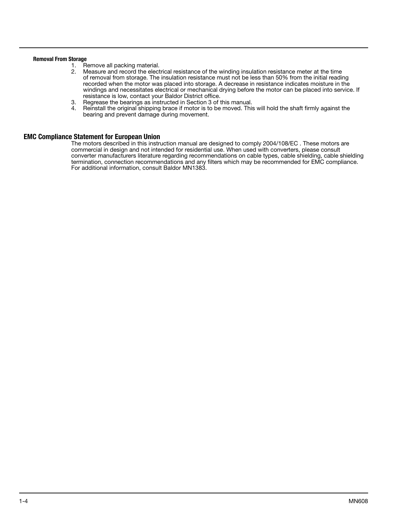## Removal From Storage

- 1. Remove all packing material.<br>2. Measure and record the elect
- 2. Measure and record the electrical resistance of the winding insulation resistance meter at the time of removal from storage. The insulation resistance must not be less than 50% from the initial reading recorded when the motor was placed into storage. A decrease in resistance indicates moisture in the windings and necessitates electrical or mechanical drying before the motor can be placed into service. If resistance is low, contact your Baldor District office.
- 3. Regrease the bearings as instructed in Section 3 of this manual.
- Reinstall the original shipping brace if motor is to be moved. This will hold the shaft firmly against the bearing and prevent damage during movement.

## EMC Compliance Statement for European Union

The motors described in this instruction manual are designed to comply 2004/108/EC . These motors are commercial in design and not intended for residential use. When used with converters, please consult converter manufacturers literature regarding recommendations on cable types, cable shielding, cable shielding termination, connection recommendations and any filters which may be recommended for EMC compliance. For additional information, consult Baldor MN1383.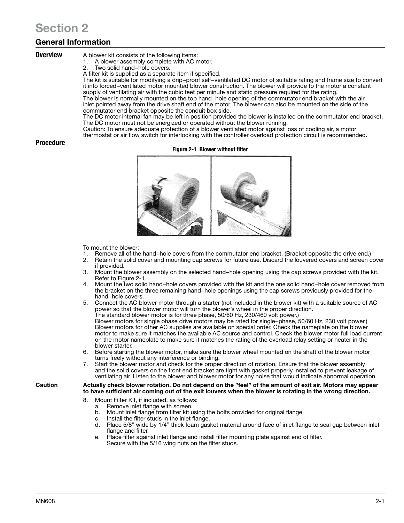# Section 2

## General Information

- **Overview** A blower kit consists of the following items:
	- 1. A blower assembly complete with AC motor.
	- Two solid hand−hole covers.
	- A filter kit is supplied as a separate item if specified.

The kit is suitable for modifying a drip−proof self−ventilated DC motor of suitable rating and frame size to convert it into forced−ventilated motor mounted blower construction. The blower will provide to the motor a constant supply of ventilating air with the cubic feet per minute and static pressure required for the rating.

The blower is normally mounted on the top hand−hole opening of the commutator end bracket with the air inlet pointed away from the drive shaft end of the motor. The blower can also be mounted on the side of the commutator end bracket opposite the conduit box side.

The DC motor internal fan may be left in position provided the blower is installed on the commutator end bracket. The DC motor must not be energized or operated without the blower running.

Caution: To ensure adequate protection of a blower ventilated motor against loss of cooling air, a motor

thermostat or air flow switch for interlocking with the controller overload protection circuit is recommended.

## Procedure

## Figure 2-1 Blower without filter



To mount the blower:

- 1. Remove all of the hand−hole covers from the commutator end bracket. (Bracket opposite the drive end.)
- 2. Retain the solid cover and mounting cap screws for future use. Discard the louvered covers and screen cover if provided.
- 3. Mount the blower assembly on the selected hand−hole opening using the cap screws provided with the kit. Refer to Figure 2-1.
- 4. Mount the two solid hand−hole covers provided with the kit and the one solid hand−hole cover removed from the bracket on the three remaining hand−hole openings using the cap screws previously provided for the hand−hole covers.
- 5. Connect the AC blower motor through a starter (not included in the blower kit) with a suitable source of AC power so that the blower motor will turn the blower's wheel in the proper direction. The standard blower motor is for three phase, 50/60 Hz, 230/460 volt power.)

Blower motors for single phase drive motors may be rated for single−phase, 50/60 Hz, 230 volt power.) Blower motors for other AC supplies are available on special order. Check the nameplate on the blower motor to make sure it matches the available AC source and control. Check the blower motor full load current on the motor nameplate to make sure it matches the rating of the overload relay setting or heater in the blower starter.

- Before starting the blower motor, make sure the blower wheel mounted on the shaft of the blower motor turns freely without any interference or binding.
- 7. Start the blower motor and check for the proper direction of rotation. Ensure that the blower assembly and the solid covers on the front end bracket are tight with gasket properly installed to prevent leakage of ventilating air. Listen to the blower and blower motor for any noise that would indicate abnormal operation.

Caution Actually check blower rotation. Do not depend on the "feel" of the amount of exit air. Motors may appear to have sufficient air coming out of the exit louvers when the blower is rotating in the wrong direction.

- 8. Mount Filter Kit, if included, as follows:
	- a. Remove inlet flange with screen.
	- b. Mount inlet flange from filter kit using the bolts provided for original flange.
	- c. Install the filter studs in the inlet flange.
	- d. Place 5/8" wide by 1/4" thick foam gasket material around face of inlet flange to seal gap between inlet flange and filter.
	- e. Place filter against inlet flange and install filter mounting plate against end of filter. Secure with the 5/16 wing nuts on the filter studs.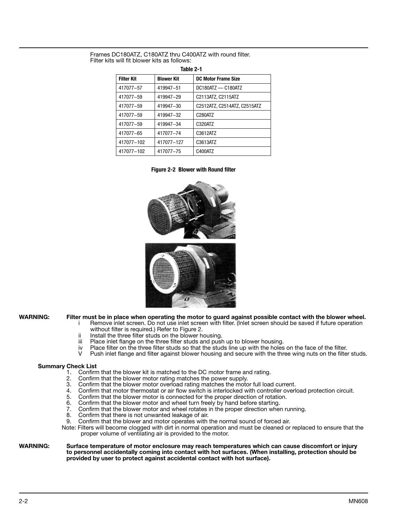Frames DC180ATZ, C180ATZ thru C400ATZ with round filter. Filter kits will fit blower kits as follows:

| Table 2-1         |                   |                              |  |  |  |
|-------------------|-------------------|------------------------------|--|--|--|
| <b>Filter Kit</b> | <b>Blower Kit</b> | DC Motor Frame Size          |  |  |  |
| 417077-57         | 419947-51         | DC180ATZ - C180ATZ           |  |  |  |
| 417077-59         | 419947-29         | C2113ATZ, C2115ATZ           |  |  |  |
| 417077-59         | 419947-30         | C2512ATZ, C2514ATZ, C2515ATZ |  |  |  |
| 417077-59         | 419947-32         | C280ATZ                      |  |  |  |
| 417077-59         | 419947-34         | C320ATZ                      |  |  |  |
| 417077-65         | 417077-74         | C3612ATZ                     |  |  |  |
| 417077-102        | 417077-127        | C3613ATZ                     |  |  |  |
| 417077-102        | 417077-75         | C400ATZ                      |  |  |  |

 $T_{\rm eff}$   $\sim$  2-1

Figure 2-2 Blower with Round filter



WARNING: Filter must be in place when operating the motor to guard against possible contact with the blower wheel.

- i Remove inlet screen. Do not use inlet screen with filter. (Inlet screen should be saved if future operation without filter is required.) Refer to Figure 2.
	-
- ii Install the three filter studs on the blower housing.<br>iii Place inlet flange on the three filter studs and push
- iii Place inlet flange on the three filter studs and push up to blower housing.<br>iv Place filter on the three filter studs so that the studs line up with the holes
- Place filter on the three filter studs so that the studs line up with the holes on the face of the filter.
- V Push inlet flange and filter against blower housing and secure with the three wing nuts on the filter studs.

## Summary Check List

- 1. Confirm that the blower kit is matched to the DC motor frame and rating.<br>2. Confirm that the blower motor rating matches the power supply
- 2. Confirm that the blower motor rating matches the power supply.
- 3. Confirm that the blower motor overload rating matches the motor full load current.
- 4. Confirm that motor thermostat or air flow switch is interlocked with controller overload protection circuit.<br>5. Confirm that the blower motor is connected for the proper direction of rotation.
- 5. Confirm that the blower motor is connected for the proper direction of rotation.<br>6. Confirm that the blower motor and wheel turn freely by hand before starting.
- 6. Confirm that the blower motor and wheel turn freely by hand before starting.<br>7. Confirm that the blower motor and wheel rotates in the proper direction when
- 7. Confirm that the blower motor and wheel rotates in the proper direction when running.
- 8. Confirm that there is not unwanted leakage of air.
- 9. Confirm that the blower and motor operates with the normal sound of forced air.
- Note: Filters will become clogged with dirt in normal operation and must be cleaned or replaced to ensure that the proper volume of ventilating air is provided to the motor.

## WARNING: Surface temperature of motor enclosure may reach temperatures which can cause discomfort or injury to personnel accidentally coming into contact with hot surfaces. (When installing, protection should be provided by user to protect against accidental contact with hot surface).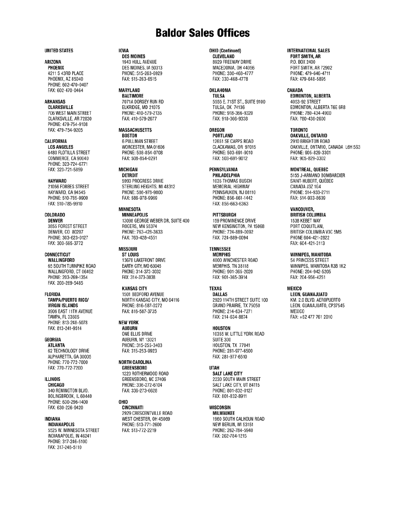## **Baldor Sales Offices**

#### **UNITED STATES**

## ARIZONA

PHOENIX 4211 S 43RD PLACE PHOENIX, AZ 85040 PHONE: 602-470-0407 FAX: 602-470-0464

## **ARKANSAS**

**CLARKSVILLE** 706 WEST MAIN STREET CLARKSVILLE, AR 72830 PHONE: 479-754-9108 FAX: 479-754-9205

## CALIFORNIA

**LOS ANGELES** 6480 FLOTILLA STREET COMMERCE, CA 90040 PHONE: 323-724-6771 FAX: 323-721-5859

#### **HAYWARD**

21056 FORBES STREET HAYWARD, CA 94545 PHONE: 510-785-9900 FAX: 510-785-9910

## COLORADO

**DENVER** 3855 FOREST STREET DENVER, CO 80207 PHONE: 303-623-0127 FAX: 303-595-3772

## **CONNECTICUT**

WALLINGFORD 65 SOUTH TURNPIKE ROAD WALLINGFORD, CT 06492 PHONE: 203-269-1354 FAX: 203-269-5485

## **FLORIDA**

**TAMPA/PUERTO RICO/ VIRGIN ISLANDS** 3906 EAST 11TH AVENUE TAMPA, FL 33605 PHONE: 813-248-5078 FAX: 813-241-9514

## **GEORGIA**

**ATLANTA** 62 TECHNOLOGY DRIVE ALPHARETTA, GA 30005 PHONE: 770-772-7000 FAX: 770-772-7200

## **ILLINOIS**

CHICAGO 340 REMINGTON BLVD. BOLINGBROOK, IL 60440 PHONE: 630-296-1400 FAX: 630-226-9420

#### INDIANA

**INDIANAPOLIS** 5525 W. MINNESOTA STREET INDIANAPOLIS, IN 46241 PHONE: 317-246-5100 FAX: 317-246-5110

## **IOWA**

**DES MOINES** 1943 HULL AVENUE DES MOINES, IA 50313 PHONE: 515-263-6929 FAX: 515-263-6515

**MARYLAND BALTIMORE** 7071A DORSEY RUN RD ELKRIDGE, MD 21075 PHONE: 410-579-2135 FAX: 410-579-2677

## **MASSACHUSETTS**

**BOSTON 6 PULLMAN STREET** WORCESTER, MA 01606 PHONE: 508-854-0708 FAX: 508-854-0291

#### MICHIGAN **DETROIT**

5993 PROGRESS DRIVE STERLING HEIGHTS, MI 48312 PHONE: 586-978-9800 FAX: 586-978-9969

## **MINNESOTA**

**MINNEAPOLIS** 13098 GEORGE WEBER DR, SUITE 400 ROGERS, MN 55374 PHONE: 763-428-3633 FAX: 763-428-4551

## **MISSOURI**

**ST LOUIS** 13678 LAKEFRONT DRIVE EARTH CITY, MO 63045 PHONE: 314-373-3032 FAX: 314-373-3038

#### **KANSAS CITY**

1501 BEDFORD AVENUE NORTH KANSAS CITY, MO 64116 PHONE: 816-587-0272 FAX: 816-587-3735

#### **NEW YORK**

**AUBURN** ONE ELLIS DRIVE AUBURN, NY 13021 PHONE: 315-255-3403 FAX: 315-253-9923

## **NORTH CAROLINA**

**GREENSBORO** 1220 ROTHERWOOD ROAD GREENSBORO, NC 27406 PHONE: 336-272-6104 FAX: 336-273-6628

## **OHIO**

CINCINNATI 2929 CRESCENTVILLE ROAD WEST CHESTER, OH 45069 PHONE: 513-771-2600 FAX: 513-772-2219

## OHIO (Continued)

**CLEVELAND** 8929 FREEWAY DRIVE MACEDONIA, OH 44056 PHONE: 330-468-4777 FAX: 330-468-4778

#### OKLAHOMA **TULSA**

5555 E. 71ST ST., SUITE 9100 **TULSA, OK 74136** PHONE: 918-366-9320 FAX: 918-366-9338

## **OREGON**

**PORTLAND** 12651 SE CAPPS ROAD CLACKAMAS, OR 97015 PHONE: 503-691-9010 FAX: 503-691-9012

## PENNSYLVANIA

PHILADELPHIA 1035 THOMAS BUSCH MEMORIAL HIGHWAY PENNSAUKEN, NJ 08110 PHONE: 856-661-1442 FAX: 856-663-6363

#### PITTSBURGH

159 PROMINENCE DRIVE NEW KENSINGTON, PA 15068 PHONE: 724-889-0092 FAX: 724-889-0094

#### **TENNESSEE**

**MEMPHIS** 4000 WINCHESTER ROAD MEMPHIS, TN 38118 PHONE: 901-365-2020 FAX: 901-365-3914

## **TEXAS**

**DALLAS** 2920 114TH STREET SUITE 100 GRAND PRAIRIE, TX 75050 PHONE: 214-634-7271 FAX: 214-634-8874

#### **HOUSTON**

10355 W. LITTLE YORK ROAD **SUITE 300** HOUSTON, TX 77041 PHONE: 281-977-6500 FAX: 281-977-6510

## **UTAH**

**SALT LAKE CITY** 2230 SOUTH MAIN STREET SALT LAKE CITY, UT 84115 PHONE: 801-832-0127 FAX: 801-832-8911

## WISCONSIN

**MILWAUKEE** 1960 SOUTH CALHOUN ROAD NEW BERLIN, WI 53151 PHONE: 262-784-5940 FAX: 262-784-1215

## **INTERNATIONAL SALES**

**FORT SMITH, AR** P.O. BOX 2400 FORT SMITH, AR 72902 PHONE: 479-646-4711 FAX: 479-648-5895

## CANADA

**EDMONTON, ALBERTA** 4053-92 STREET EDMONTON, ALBERTA T6E 6R8 PHONE: 780-434-4900 FAX: 780-438-2600

### **TORONTO**

**OAKVILLE, ONTARIO** 2910 BRIGHTON ROAD OAKVILLE, ONTARIO, CANADA L6H 5S3 PHONE: 905-829-3301 FAX: 905-829-3302

### MONTREAL, QUEBEC

5155 J-ARMAND BOMBARDIER SAINT-HUBERT, QUÉBEC CANADA J3Z 1G4 PHONE: 514-933-2711 FAX: 514-933-8639

## VANCOUVER,

**BRITISH COLUMBIA** 1538 KEBET WAY PORT COQUITLAM, BRITISH COLUMBIA V3C 5M5 PHONE 604-421-2822 FAX: 604-421-3113

## WINNIPEG, MANITOBA

54 PRINCESS STREET WINNIPEG, MANITOBA R3B 1K2 PHONE: 204-942-5205 FAX: 204-956-4251

## MEXICO

LEON, GUANAJUATO KM. 2.0 BLVD. AEROPUERTO LEON, GUANAJUATO, CP37545 **MEXICO** FAX: +52 477 761 2010